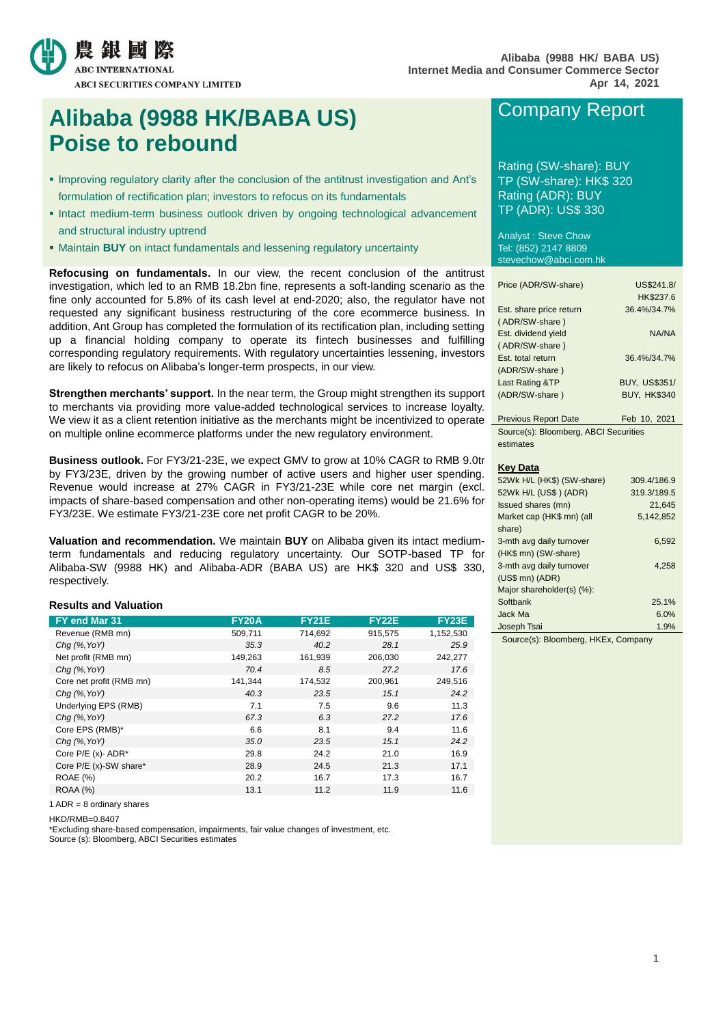

# **Alibaba (9988 HK/BABA US) Poise to rebound**

- **Improving regulatory clarity after the conclusion of the antitrust investigation and Ant's** formulation of rectification plan; investors to refocus on its fundamentals
- Intact medium-term business outlook driven by ongoing technological advancement and structural industry uptrend
- Maintain **BUY** on intact fundamentals and lessening regulatory uncertainty

**Refocusing on fundamentals.** In our view, the recent conclusion of the antitrust investigation, which led to an RMB 18.2bn fine, represents a soft-landing scenario as the fine only accounted for 5.8% of its cash level at end-2020; also, the regulator have not requested any significant business restructuring of the core ecommerce business. In addition, Ant Group has completed the formulation of its rectification plan, including setting up a financial holding company to operate its fintech businesses and fulfilling corresponding regulatory requirements. With regulatory uncertainties lessening, investors are likely to refocus on Alibaba's longer-term prospects, in our view.

**Strengthen merchants' support.** In the near term, the Group might strengthen its support to merchants via providing more value-added technological services to increase loyalty. We view it as a client retention initiative as the merchants might be incentivized to operate on multiple online ecommerce platforms under the new regulatory environment.

**Business outlook.** For FY3/21-23E, we expect GMV to grow at 10% CAGR to RMB 9.0tr by FY3/23E, driven by the growing number of active users and higher user spending. Revenue would increase at 27% CAGR in FY3/21-23E while core net margin (excl. impacts of share-based compensation and other non-operating items) would be 21.6% for FY3/23E. We estimate FY3/21-23E core net profit CAGR to be 20%.

**Valuation and recommendation.** We maintain **BUY** on Alibaba given its intact mediumterm fundamentals and reducing regulatory uncertainty. Our SOTP-based TP for Alibaba-SW (9988 HK) and Alibaba-ADR (BABA US) are HK\$ 320 and US\$ 330, respectively.

#### **Results and Valuation**

| FY end Mar 31            | <b>FY20A</b> | <b>FY21E</b> | <b>FY22E</b> | <b>FY23E</b> |
|--------------------------|--------------|--------------|--------------|--------------|
| Revenue (RMB mn)         | 509,711      | 714,692      | 915,575      | 1,152,530    |
| $Chq$ (%, YoY)           | 35.3         | 40.2         | 28.1         | 25.9         |
| Net profit (RMB mn)      | 149,263      | 161,939      | 206,030      | 242,277      |
| $Chq$ (%, YoY)           | 70.4         | 8.5          | 27.2         | 17.6         |
| Core net profit (RMB mn) | 141,344      | 174,532      | 200,961      | 249,516      |
| $Chq$ (%, YoY)           | 40.3         | 23.5         | 15.1         | 24.2         |
| Underlying EPS (RMB)     | 7.1          | 7.5          | 9.6          | 11.3         |
| $Chq$ (%, YoY)           | 67.3         | 6.3          | 27.2         | 17.6         |
| Core EPS (RMB)*          | 6.6          | 8.1          | 9.4          | 11.6         |
| $Chq$ (%, YoY)           | 35.0         | 23.5         | 15.1         | 24.2         |
| Core $P/E(x)$ - ADR*     | 29.8         | 24.2         | 21.0         | 16.9         |
| Core P/E (x)-SW share*   | 28.9         | 24.5         | 21.3         | 17.1         |
| <b>ROAE</b> (%)          | 20.2         | 16.7         | 17.3         | 16.7         |
| ROAA (%)                 | 13.1         | 11.2         | 11.9         | 11.6         |

1 ADR = 8 ordinary shares

HKD/RMB=0.8407

\*Excluding share-based compensation, impairments, fair value changes of investment, etc.

Source (s): Bloomberg, ABCI Securities estimates

# Company Report

Rating (SW-share): BUY TP (SW-share): HK\$ 320 Rating (ADR): BUY TP (ADR): US\$ 330

Analyst : Steve Chow Tel: (852) 2147 8809 stevechow@abci.com.hk

| Price (ADR/SW-share)    | US\$241.8/           |
|-------------------------|----------------------|
|                         | HK\$237.6            |
| Est. share price return | 36.4%/34.7%          |
| (ADR/SW-share)          |                      |
| Est. dividend yield     | NA/NA                |
| (ADR/SW-share)          |                      |
| Est. total return       | 36.4%/34.7%          |
| (ADR/SW-share)          |                      |
| Last Rating &TP         | <b>BUY, US\$351/</b> |
| (ADR/SW-share)          | <b>BUY, HK\$340</b>  |
|                         |                      |

Previous Report Date Feb 10, 2021 Source(s): Bloomberg, ABCI Securities estimates

#### **Key Data**

| 52Wk H/L (HK\$) (SW-share) | 309.4/186.9 |
|----------------------------|-------------|
| 52Wk H/L (US\$) (ADR)      | 319.3/189.5 |
| Issued shares (mn)         | 21.645      |
| Market cap (HK\$ mn) (all  | 5,142,852   |
| share)                     |             |
| 3-mth avg daily turnover   | 6.592       |
| (HK\$ mn) (SW-share)       |             |
| 3-mth avg daily turnover   | 4,258       |
| $(US$$ mn $)$ $(ADR)$      |             |
| Major shareholder(s) (%):  |             |
| Softbank                   | 25.1%       |
| Jack Ma                    | 6.0%        |
| Joseph Tsai                | 1.9%        |

Source(s): Bloomberg, HKEx, Company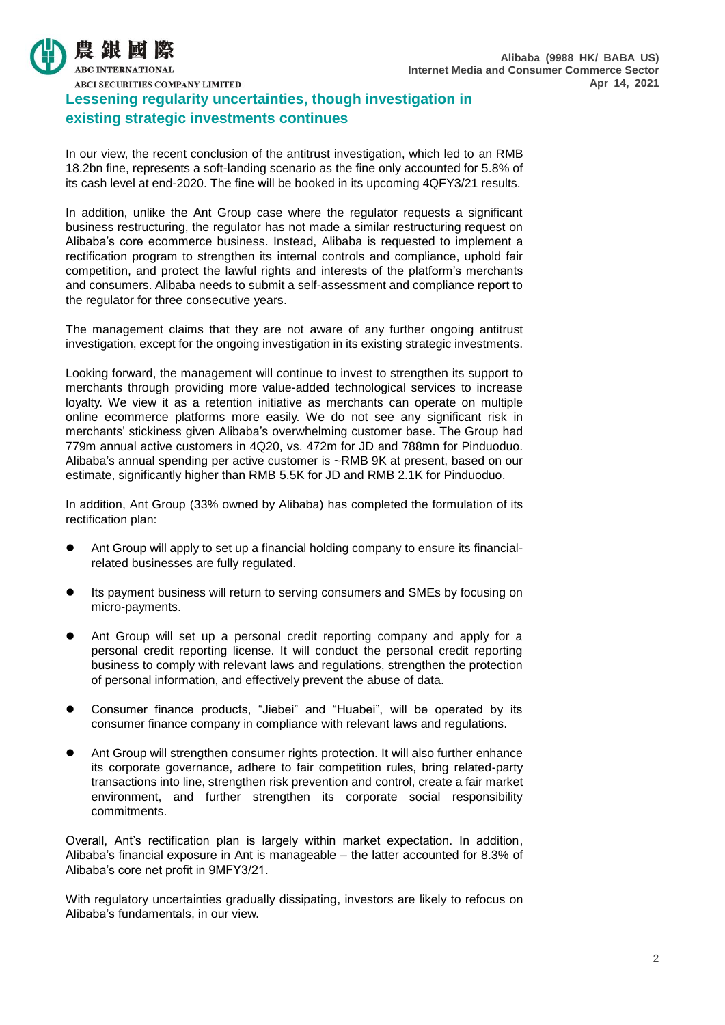

**ABCI SECURITIES COMPANY LIMITED** 

## **Lessening regularity uncertainties, though investigation in existing strategic investments continues**

In our view, the recent conclusion of the antitrust investigation, which led to an RMB 18.2bn fine, represents a soft-landing scenario as the fine only accounted for 5.8% of its cash level at end-2020. The fine will be booked in its upcoming 4QFY3/21 results.

In addition, unlike the Ant Group case where the regulator requests a significant business restructuring, the regulator has not made a similar restructuring request on Alibaba's core ecommerce business. Instead, Alibaba is requested to implement a rectification program to strengthen its internal controls and compliance, uphold fair competition, and protect the lawful rights and interests of the platform's merchants and consumers. Alibaba needs to submit a self-assessment and compliance report to the regulator for three consecutive years.

The management claims that they are not aware of any further ongoing antitrust investigation, except for the ongoing investigation in its existing strategic investments.

Looking forward, the management will continue to invest to strengthen its support to merchants through providing more value-added technological services to increase loyalty. We view it as a retention initiative as merchants can operate on multiple online ecommerce platforms more easily. We do not see any significant risk in merchants' stickiness given Alibaba's overwhelming customer base. The Group had 779m annual active customers in 4Q20, vs. 472m for JD and 788mn for Pinduoduo. Alibaba's annual spending per active customer is ~RMB 9K at present, based on our estimate, significantly higher than RMB 5.5K for JD and RMB 2.1K for Pinduoduo.

In addition, Ant Group (33% owned by Alibaba) has completed the formulation of its rectification plan:

- Ant Group will apply to set up a financial holding company to ensure its financialrelated businesses are fully regulated.
- Its payment business will return to serving consumers and SMEs by focusing on micro-payments.
- Ant Group will set up a personal credit reporting company and apply for a personal credit reporting license. It will conduct the personal credit reporting business to comply with relevant laws and regulations, strengthen the protection of personal information, and effectively prevent the abuse of data.
- Consumer finance products, "Jiebei" and "Huabei", will be operated by its consumer finance company in compliance with relevant laws and regulations.
- Ant Group will strengthen consumer rights protection. It will also further enhance its corporate governance, adhere to fair competition rules, bring related-party transactions into line, strengthen risk prevention and control, create a fair market environment, and further strengthen its corporate social responsibility commitments.

Overall, Ant's rectification plan is largely within market expectation. In addition, Alibaba's financial exposure in Ant is manageable – the latter accounted for 8.3% of Alibaba's core net profit in 9MFY3/21.

With regulatory uncertainties gradually dissipating, investors are likely to refocus on Alibaba's fundamentals, in our view.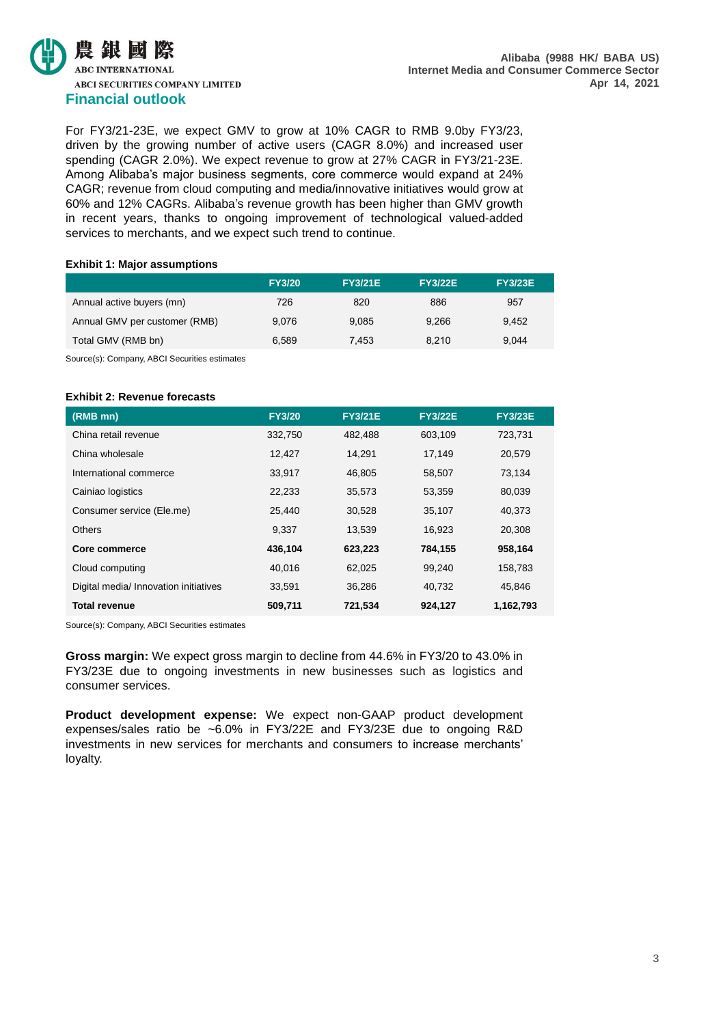

For FY3/21-23E, we expect GMV to grow at 10% CAGR to RMB 9.0by FY3/23, driven by the growing number of active users (CAGR 8.0%) and increased user spending (CAGR 2.0%). We expect revenue to grow at 27% CAGR in FY3/21-23E. Among Alibaba's major business segments, core commerce would expand at 24% CAGR; revenue from cloud computing and media/innovative initiatives would grow at 60% and 12% CAGRs. Alibaba's revenue growth has been higher than GMV growth in recent years, thanks to ongoing improvement of technological valued-added services to merchants, and we expect such trend to continue.

#### **Exhibit 1: Major assumptions**

|                               | <b>FY3/20</b> | <b>FY3/21E</b> | <b>FY3/22E</b> | <b>FY3/23E</b> |
|-------------------------------|---------------|----------------|----------------|----------------|
| Annual active buyers (mn)     | 726           | 820            | 886            | 957            |
| Annual GMV per customer (RMB) | 9.076         | 9.085          | 9.266          | 9.452          |
| Total GMV (RMB bn)            | 6.589         | 7.453          | 8.210          | 9.044          |
|                               |               |                |                |                |

Source(s): Company, ABCI Securities estimates

### **Exhibit 2: Revenue forecasts**

| (RMB mn)                              | <b>FY3/20</b> | <b>FY3/21E</b> | <b>FY3/22E</b> | <b>FY3/23E</b> |
|---------------------------------------|---------------|----------------|----------------|----------------|
| China retail revenue                  | 332,750       | 482,488        | 603,109        | 723,731        |
| China wholesale                       | 12,427        | 14,291         | 17,149         | 20,579         |
| International commerce                | 33,917        | 46,805         | 58,507         | 73,134         |
| Cainiao logistics                     | 22,233        | 35,573         | 53,359         | 80,039         |
| Consumer service (Ele.me)             | 25.440        | 30.528         | 35.107         | 40.373         |
| <b>Others</b>                         | 9,337         | 13,539         | 16,923         | 20,308         |
| Core commerce                         | 436,104       | 623,223        | 784,155        | 958,164        |
| Cloud computing                       | 40.016        | 62,025         | 99,240         | 158,783        |
| Digital media/ Innovation initiatives | 33,591        | 36,286         | 40,732         | 45.846         |
| <b>Total revenue</b>                  | 509,711       | 721,534        | 924,127        | 1,162,793      |

Source(s): Company, ABCI Securities estimates

**Gross margin:** We expect gross margin to decline from 44.6% in FY3/20 to 43.0% in FY3/23E due to ongoing investments in new businesses such as logistics and consumer services.

**Product development expense:** We expect non-GAAP product development expenses/sales ratio be ~6.0% in FY3/22E and FY3/23E due to ongoing R&D investments in new services for merchants and consumers to increase merchants' loyalty.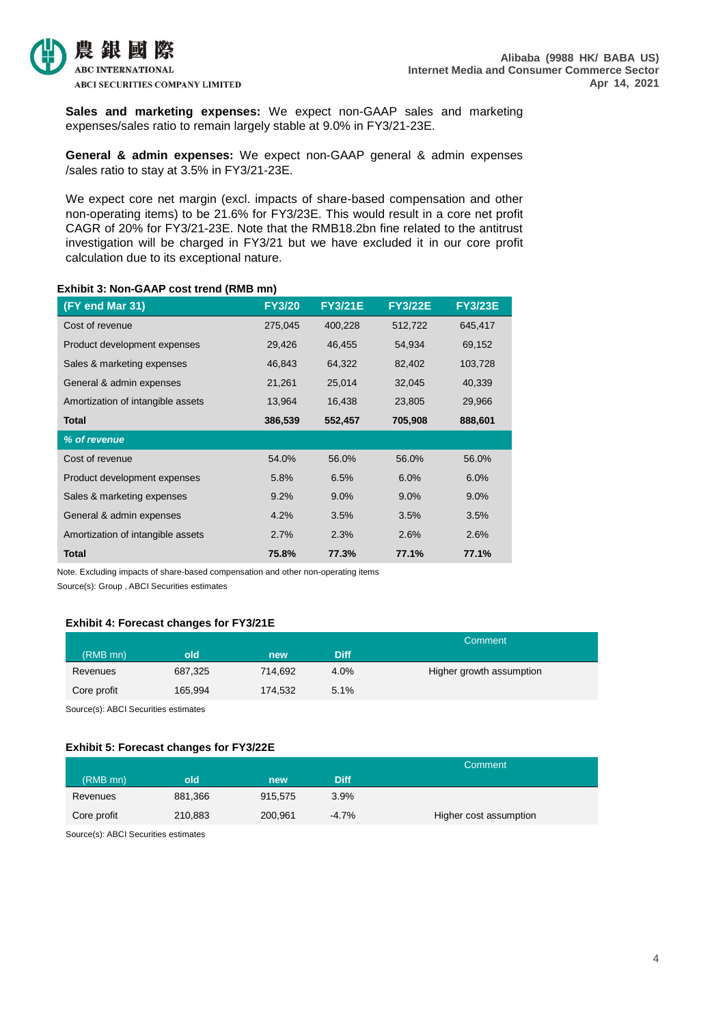

**Sales and marketing expenses:** We expect non-GAAP sales and marketing expenses/sales ratio to remain largely stable at 9.0% in FY3/21-23E.

**General & admin expenses:** We expect non-GAAP general & admin expenses /sales ratio to stay at 3.5% in FY3/21-23E.

We expect core net margin (excl. impacts of share-based compensation and other non-operating items) to be 21.6% for FY3/23E. This would result in a core net profit CAGR of 20% for FY3/21-23E. Note that the RMB18.2bn fine related to the antitrust investigation will be charged in FY3/21 but we have excluded it in our core profit calculation due to its exceptional nature.

### **Exhibit 3: Non-GAAP cost trend (RMB mn)**

| (FY end Mar 31)                   | <b>FY3/20</b> | <b>FY3/21E</b> | <b>FY3/22E</b> | <b>FY3/23E</b> |
|-----------------------------------|---------------|----------------|----------------|----------------|
| Cost of revenue                   | 275,045       | 400,228        | 512,722        | 645,417        |
| Product development expenses      | 29,426        | 46,455         | 54,934         | 69,152         |
| Sales & marketing expenses        | 46,843        | 64,322         | 82,402         | 103,728        |
| General & admin expenses          | 21,261        | 25,014         | 32,045         | 40,339         |
| Amortization of intangible assets | 13,964        | 16,438         | 23,805         | 29,966         |
| <b>Total</b>                      | 386,539       | 552,457        | 705,908        | 888,601        |
| % of revenue                      |               |                |                |                |
| Cost of revenue                   | 54.0%         | 56.0%          | 56.0%          | 56.0%          |
| Product development expenses      | 5.8%          | 6.5%           | 6.0%           | 6.0%           |
| Sales & marketing expenses        | 9.2%          | $9.0\%$        | $9.0\%$        | $9.0\%$        |
| General & admin expenses          | 4.2%          | 3.5%           | 3.5%           | 3.5%           |
| Amortization of intangible assets | 2.7%          | 2.3%           | 2.6%           | 2.6%           |
| <b>Total</b>                      | 75.8%         | 77.3%          | 77.1%          | 77.1%          |

Note. Excluding impacts of share-based compensation and other non-operating items

Source(s): Group , ABCI Securities estimates

### **Exhibit 4: Forecast changes for FY3/21E**

|             |         |         |             | Comment                  |
|-------------|---------|---------|-------------|--------------------------|
| (RMB mn)    | old     | new     | <b>Diff</b> |                          |
| Revenues    | 687,325 | 714.692 | 4.0%        | Higher growth assumption |
| Core profit | 165,994 | 174,532 | 5.1%        |                          |

Source(s): ABCI Securities estimates

#### **Exhibit 5: Forecast changes for FY3/22E**

|             |         |         |             | Comment                |
|-------------|---------|---------|-------------|------------------------|
| (RMB mn)    | old     | new     | <b>Diff</b> |                        |
| Revenues    | 881,366 | 915.575 | 3.9%        |                        |
| Core profit | 210,883 | 200.961 | $-4.7\%$    | Higher cost assumption |

Source(s): ABCI Securities estimates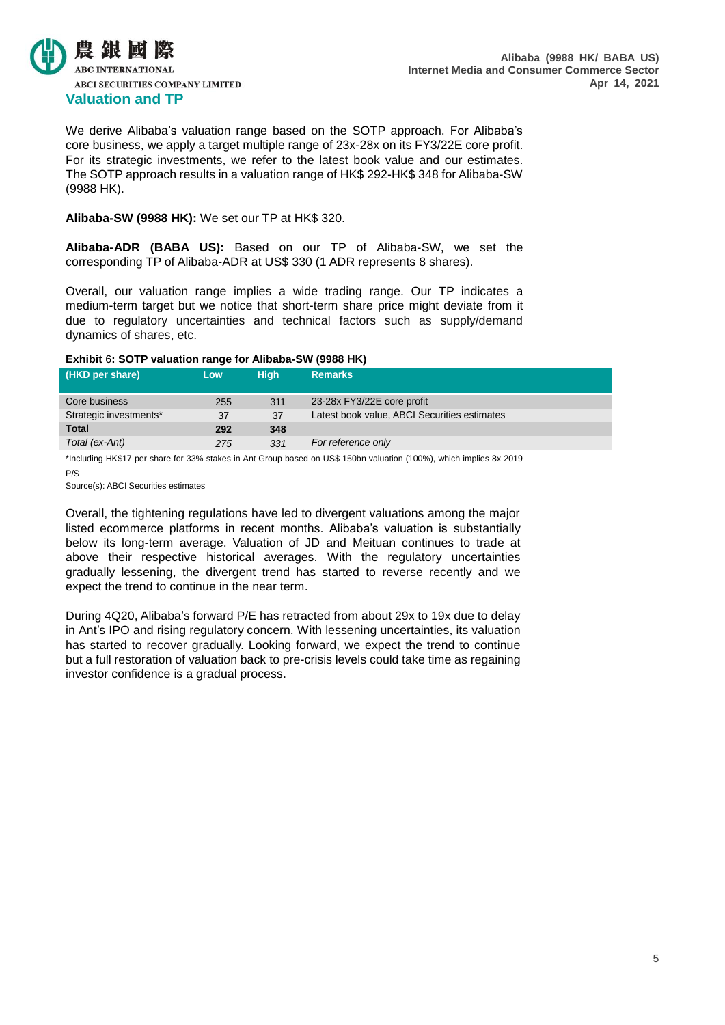

We derive Alibaba's valuation range based on the SOTP approach. For Alibaba's core business, we apply a target multiple range of 23x-28x on its FY3/22E core profit. For its strategic investments, we refer to the latest book value and our estimates. The SOTP approach results in a valuation range of HK\$ 292-HK\$ 348 for Alibaba-SW (9988 HK).

### **Alibaba-SW (9988 HK):** We set our TP at HK\$ 320.

**Alibaba-ADR (BABA US):** Based on our TP of Alibaba-SW, we set the corresponding TP of Alibaba-ADR at US\$ 330 (1 ADR represents 8 shares).

Overall, our valuation range implies a wide trading range. Our TP indicates a medium-term target but we notice that short-term share price might deviate from it due to regulatory uncertainties and technical factors such as supply/demand dynamics of shares, etc.

#### **Exhibit** 6**: SOTP valuation range for Alibaba-SW (9988 HK)**

| (HKD per share)        | Low. | <b>High</b> | <b>Remarks</b>                               |  |
|------------------------|------|-------------|----------------------------------------------|--|
| Core business          | 255  | 311         | 23-28x FY3/22E core profit                   |  |
| Strategic investments* | 37   | 37          | Latest book value, ABCI Securities estimates |  |
| <b>Total</b>           | 292  | 348         |                                              |  |
| Total (ex-Ant)         | 275  | 331         | For reference only                           |  |
|                        |      |             |                                              |  |

\*Including HK\$17 per share for 33% stakes in Ant Group based on US\$ 150bn valuation (100%), which implies 8x 2019 P/S

Source(s): ABCI Securities estimates

Overall, the tightening regulations have led to divergent valuations among the major listed ecommerce platforms in recent months. Alibaba's valuation is substantially below its long-term average. Valuation of JD and Meituan continues to trade at above their respective historical averages. With the regulatory uncertainties gradually lessening, the divergent trend has started to reverse recently and we expect the trend to continue in the near term.

During 4Q20, Alibaba's forward P/E has retracted from about 29x to 19x due to delay in Ant's IPO and rising regulatory concern. With lessening uncertainties, its valuation has started to recover gradually. Looking forward, we expect the trend to continue but a full restoration of valuation back to pre-crisis levels could take time as regaining investor confidence is a gradual process.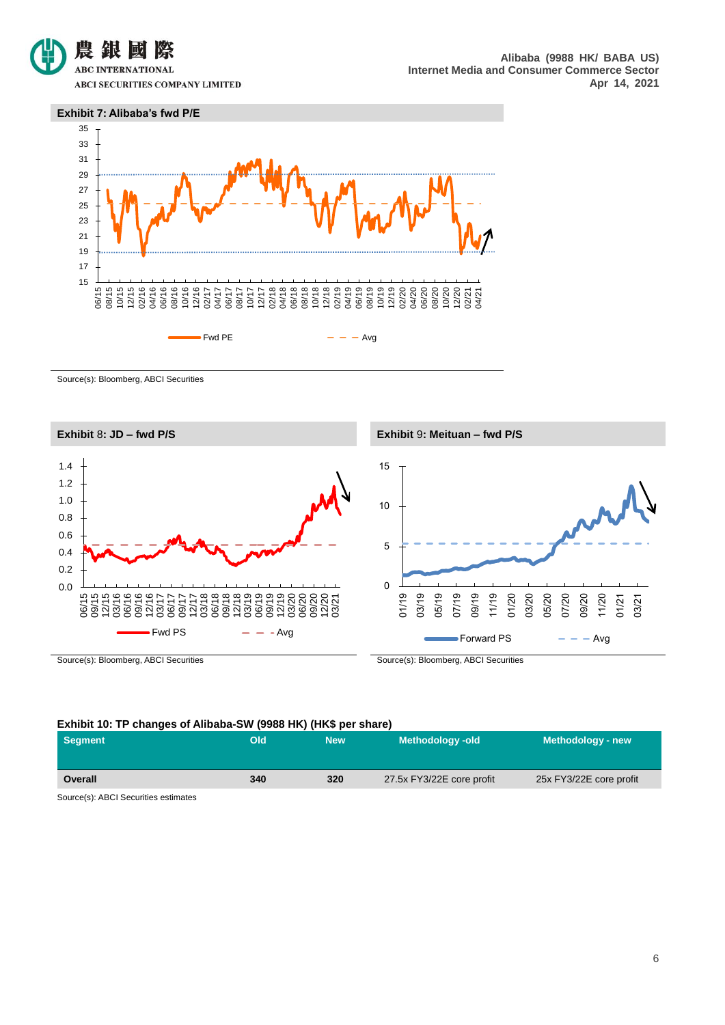

**ABCI SECURITIES COMPANY LIMITED** 





Source(s): Bloomberg, ABCI Securities



#### **Exhibit 10: TP changes of Alibaba-SW (9988 HK) (HK\$ per share)**

| Segment        | Old | <b>New</b> | <b>Methodology-old</b>    | Methodology - new       |
|----------------|-----|------------|---------------------------|-------------------------|
| <b>Overall</b> | 340 | 320        | 27.5x FY3/22E core profit | 25x FY3/22E core profit |

Source(s): ABCI Securities estimates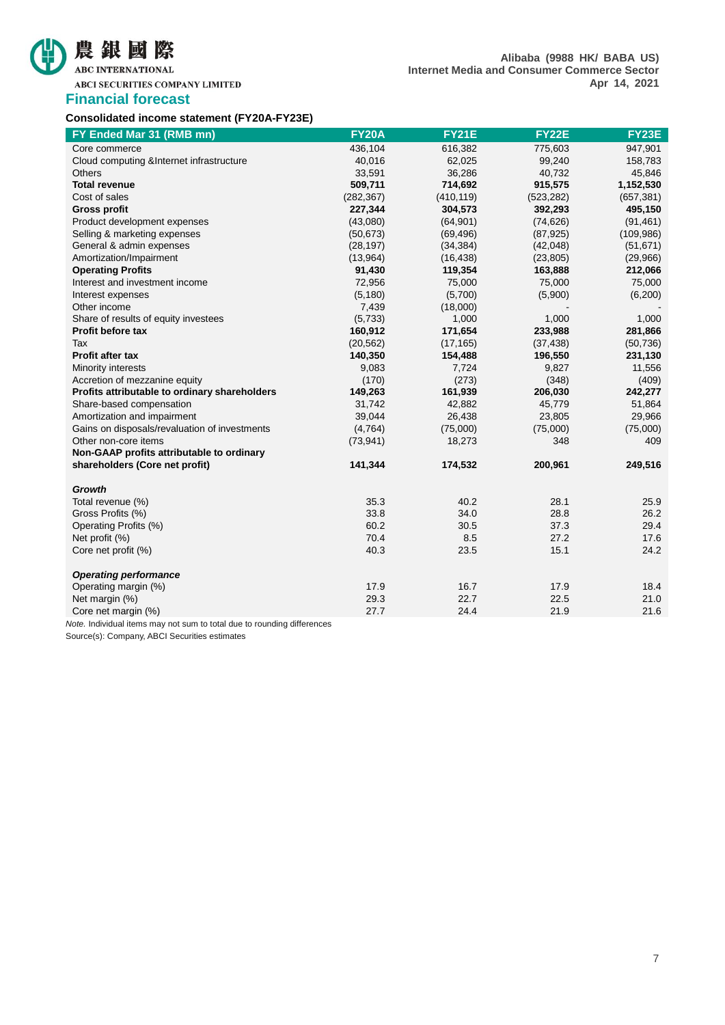# 農銀國際 ABC INTERNATIONAL

**ABCI SECURITIES COMPANY LIMITED** 

## **Financial forecast**

## **Consolidated income statement (FY20A-FY23E)**

| FY Ended Mar 31 (RMB mn)                      | <b>FY20A</b> | <b>FY21E</b> | <b>FY22E</b> | <b>FY23E</b> |
|-----------------------------------------------|--------------|--------------|--------------|--------------|
| Core commerce                                 | 436,104      | 616,382      | 775,603      | 947,901      |
| Cloud computing & Internet infrastructure     | 40,016       | 62,025       | 99,240       | 158,783      |
| Others                                        | 33,591       | 36,286       | 40,732       | 45,846       |
| <b>Total revenue</b>                          | 509,711      | 714,692      | 915,575      | 1,152,530    |
| Cost of sales                                 | (282, 367)   | (410, 119)   | (523, 282)   | (657, 381)   |
| <b>Gross profit</b>                           | 227,344      | 304,573      | 392,293      | 495,150      |
| Product development expenses                  | (43,080)     | (64, 901)    | (74, 626)    | (91, 461)    |
| Selling & marketing expenses                  | (50, 673)    | (69, 496)    | (87, 925)    | (109, 986)   |
| General & admin expenses                      | (28, 197)    | (34, 384)    | (42, 048)    | (51, 671)    |
| Amortization/Impairment                       | (13,964)     | (16, 438)    | (23, 805)    | (29,966)     |
| <b>Operating Profits</b>                      | 91,430       | 119,354      | 163,888      | 212,066      |
| Interest and investment income                | 72,956       | 75,000       | 75,000       | 75,000       |
| Interest expenses                             | (5, 180)     | (5,700)      | (5,900)      | (6,200)      |
| Other income                                  | 7,439        | (18,000)     |              |              |
| Share of results of equity investees          | (5,733)      | 1,000        | 1,000        | 1,000        |
| Profit before tax                             | 160,912      | 171,654      | 233,988      | 281,866      |
| Tax                                           | (20, 562)    | (17, 165)    | (37, 438)    | (50, 736)    |
| Profit after tax                              | 140,350      | 154,488      | 196,550      | 231,130      |
| Minority interests                            | 9,083        | 7,724        | 9,827        | 11,556       |
| Accretion of mezzanine equity                 | (170)        | (273)        | (348)        | (409)        |
| Profits attributable to ordinary shareholders | 149,263      | 161,939      | 206,030      | 242,277      |
| Share-based compensation                      | 31,742       | 42,882       | 45,779       | 51,864       |
| Amortization and impairment                   | 39,044       | 26,438       | 23,805       | 29,966       |
| Gains on disposals/revaluation of investments | (4,764)      | (75,000)     | (75,000)     | (75,000)     |
| Other non-core items                          | (73, 941)    | 18,273       | 348          | 409          |
| Non-GAAP profits attributable to ordinary     |              |              |              |              |
| shareholders (Core net profit)                | 141,344      | 174,532      | 200,961      | 249,516      |
| <b>Growth</b>                                 |              |              |              |              |
| Total revenue (%)                             | 35.3         | 40.2         | 28.1         | 25.9         |
| Gross Profits (%)                             | 33.8         | 34.0         | 28.8         | 26.2         |
| Operating Profits (%)                         | 60.2         | 30.5         | 37.3         | 29.4         |
| Net profit (%)                                | 70.4         | 8.5          | 27.2         | 17.6         |
| Core net profit (%)                           | 40.3         | 23.5         | 15.1         | 24.2         |
| <b>Operating performance</b>                  |              |              |              |              |
| Operating margin (%)                          | 17.9         | 16.7         | 17.9         | 18.4         |
| Net margin (%)                                | 29.3         | 22.7         | 22.5         | 21.0         |
| Core net margin (%)                           | 27.7         | 24.4         | 21.9         | 21.6         |

*Note.* Individual items may not sum to total due to rounding differences

Source(s): Company, ABCI Securities estimates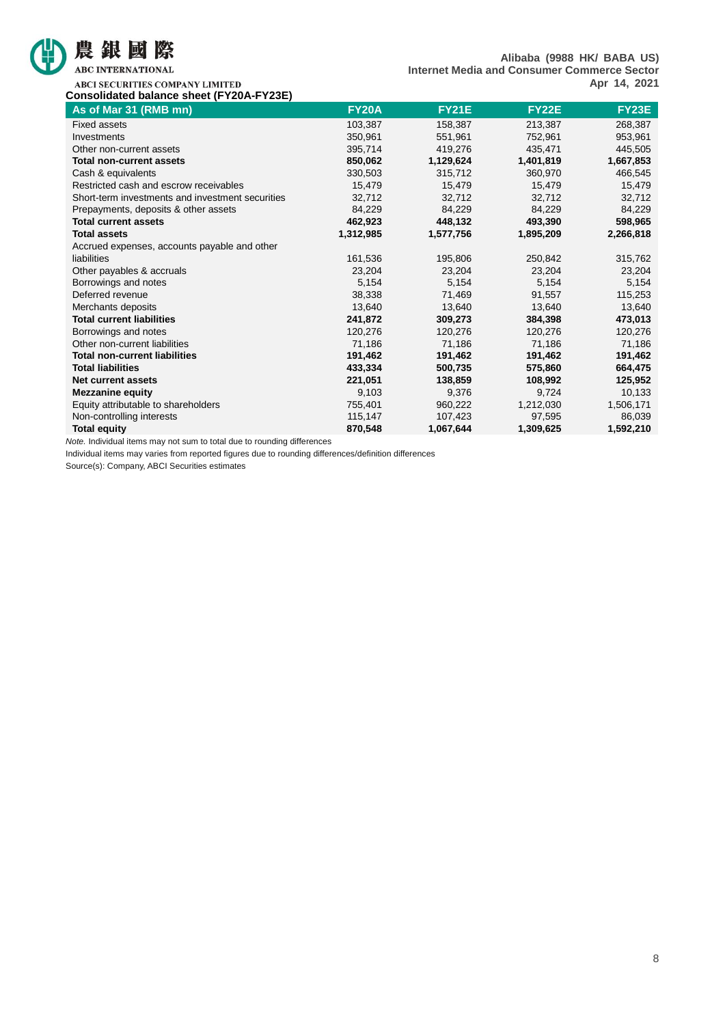

# 農銀國際

ABC INTERNATIONAL

**Alibaba (9988 HK/ BABA US) Internet Media and Consumer Commerce Sector Apr 14, 2021**

ABCI SECURITIES COMPANY LIMITED **Consolidated balance sheet (FY20A-FY23E)**

| As of Mar 31 (RMB mn)                            | <b>FY20A</b> | <b>FY21E</b> | <b>FY22E</b> | <b>FY23E</b> |
|--------------------------------------------------|--------------|--------------|--------------|--------------|
| <b>Fixed assets</b>                              | 103,387      | 158,387      | 213,387      | 268,387      |
| Investments                                      | 350,961      | 551,961      | 752,961      | 953,961      |
| Other non-current assets                         | 395,714      | 419,276      | 435,471      | 445,505      |
| <b>Total non-current assets</b>                  | 850,062      | 1,129,624    | 1,401,819    | 1,667,853    |
| Cash & equivalents                               | 330,503      | 315,712      | 360,970      | 466,545      |
| Restricted cash and escrow receivables           | 15,479       | 15,479       | 15,479       | 15,479       |
| Short-term investments and investment securities | 32,712       | 32,712       | 32,712       | 32,712       |
| Prepayments, deposits & other assets             | 84,229       | 84,229       | 84,229       | 84,229       |
| <b>Total current assets</b>                      | 462,923      | 448,132      | 493,390      | 598,965      |
| <b>Total assets</b>                              | 1,312,985    | 1,577,756    | 1,895,209    | 2,266,818    |
| Accrued expenses, accounts payable and other     |              |              |              |              |
| liabilities                                      | 161,536      | 195,806      | 250,842      | 315,762      |
| Other payables & accruals                        | 23,204       | 23,204       | 23,204       | 23,204       |
| Borrowings and notes                             | 5,154        | 5,154        | 5,154        | 5,154        |
| Deferred revenue                                 | 38,338       | 71,469       | 91,557       | 115,253      |
| Merchants deposits                               | 13,640       | 13,640       | 13,640       | 13,640       |
| <b>Total current liabilities</b>                 | 241,872      | 309,273      | 384,398      | 473,013      |
| Borrowings and notes                             | 120,276      | 120,276      | 120,276      | 120,276      |
| Other non-current liabilities                    | 71,186       | 71,186       | 71,186       | 71,186       |
| <b>Total non-current liabilities</b>             | 191,462      | 191,462      | 191,462      | 191,462      |
| <b>Total liabilities</b>                         | 433,334      | 500,735      | 575,860      | 664,475      |
| <b>Net current assets</b>                        | 221,051      | 138,859      | 108,992      | 125,952      |
| <b>Mezzanine equity</b>                          | 9,103        | 9,376        | 9,724        | 10,133       |
| Equity attributable to shareholders              | 755,401      | 960,222      | 1,212,030    | 1,506,171    |
| Non-controlling interests                        | 115,147      | 107,423      | 97,595       | 86,039       |
| <b>Total equity</b>                              | 870,548      | 1,067,644    | 1,309,625    | 1,592,210    |

*Note.* Individual items may not sum to total due to rounding differences

Individual items may varies from reported figures due to rounding differences/definition differences

Source(s): Company, ABCI Securities estimates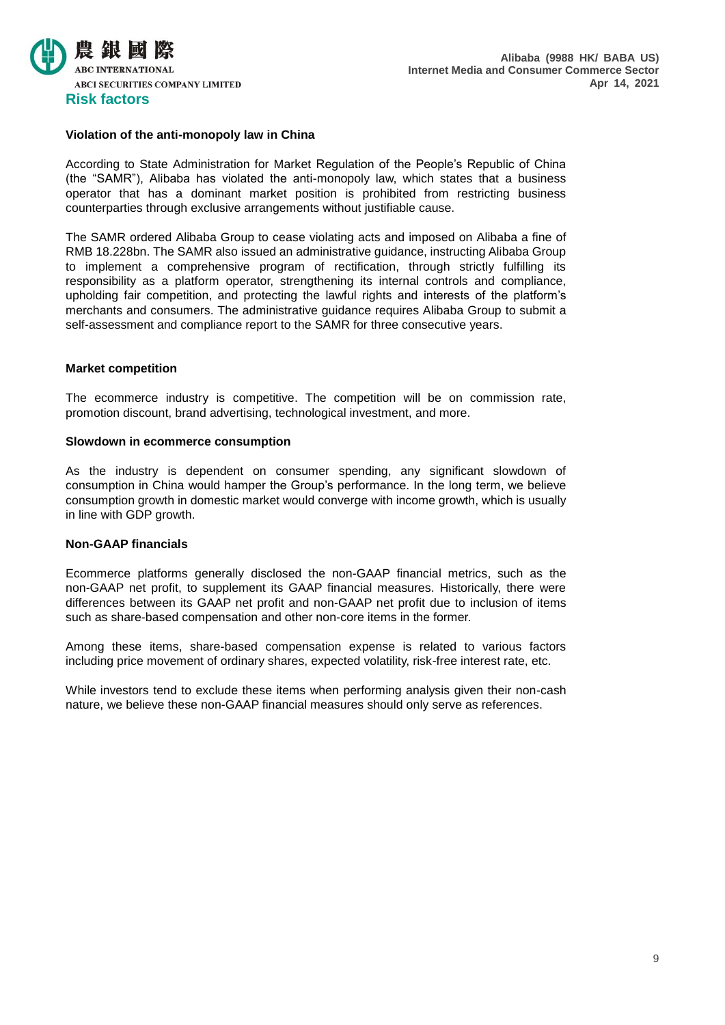

## **Violation of the anti-monopoly law in China**

According to State Administration for Market Regulation of the People's Republic of China (the "SAMR"), Alibaba has violated the anti-monopoly law, which states that a business operator that has a dominant market position is prohibited from restricting business counterparties through exclusive arrangements without justifiable cause.

The SAMR ordered Alibaba Group to cease violating acts and imposed on Alibaba a fine of RMB 18.228bn. The SAMR also issued an administrative guidance, instructing Alibaba Group to implement a comprehensive program of rectification, through strictly fulfilling its responsibility as a platform operator, strengthening its internal controls and compliance, upholding fair competition, and protecting the lawful rights and interests of the platform's merchants and consumers. The administrative guidance requires Alibaba Group to submit a self-assessment and compliance report to the SAMR for three consecutive years.

#### **Market competition**

The ecommerce industry is competitive. The competition will be on commission rate, promotion discount, brand advertising, technological investment, and more.

#### **Slowdown in ecommerce consumption**

As the industry is dependent on consumer spending, any significant slowdown of consumption in China would hamper the Group's performance. In the long term, we believe consumption growth in domestic market would converge with income growth, which is usually in line with GDP growth.

#### **Non-GAAP financials**

Ecommerce platforms generally disclosed the non-GAAP financial metrics, such as the non-GAAP net profit, to supplement its GAAP financial measures. Historically, there were differences between its GAAP net profit and non-GAAP net profit due to inclusion of items such as share-based compensation and other non-core items in the former.

Among these items, share-based compensation expense is related to various factors including price movement of ordinary shares, expected volatility, risk-free interest rate, etc.

While investors tend to exclude these items when performing analysis given their non-cash nature, we believe these non-GAAP financial measures should only serve as references.